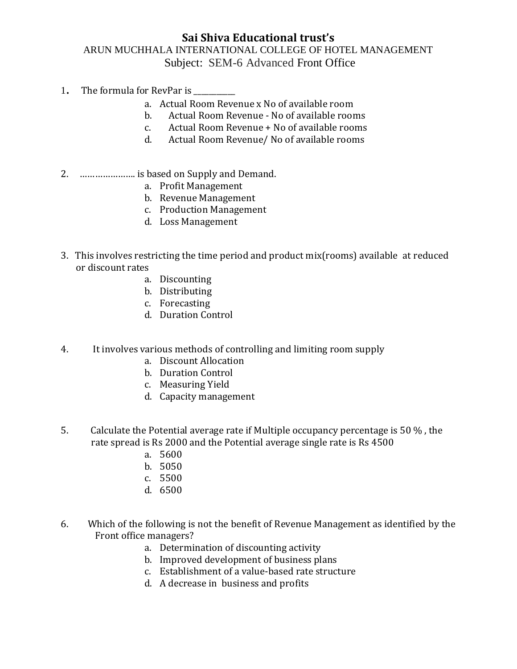## **Sai Shiva Educational trust's** ARUN MUCHHALA INTERNATIONAL COLLEGE OF HOTEL MANAGEMENT Subject: SEM-6 Advanced Front Office

- 1. The formula for RevPar is
	- a. Actual Room Revenue x No of available room
	- b. Actual Room Revenue No of available rooms
	- c. Actual Room Revenue + No of available rooms
	- d. Actual Room Revenue/ No of available rooms
- 2. …………………. is based on Supply and Demand.
	- a. Profit Management
	- b. Revenue Management
	- c. Production Management
	- d. Loss Management
- 3. This involves restricting the time period and product mix(rooms) available at reduced or discount rates
	- a. Discounting
	- b. Distributing
	- c. Forecasting
	- d. Duration Control
- 4. It involves various methods of controlling and limiting room supply
	- a. Discount Allocation
	- b. Duration Control
	- c. Measuring Yield
	- d. Capacity management
- 5. Calculate the Potential average rate if Multiple occupancy percentage is 50 % , the rate spread is Rs 2000 and the Potential average single rate is Rs 4500
	- a. 5600
	- b. 5050
	- c. 5500
	- d. 6500
- 6. Which of the following is not the benefit of Revenue Management as identified by the Front office managers?
	- a. Determination of discounting activity
	- b. Improved development of business plans
	- c. Establishment of a value-based rate structure
	- d. A decrease in business and profits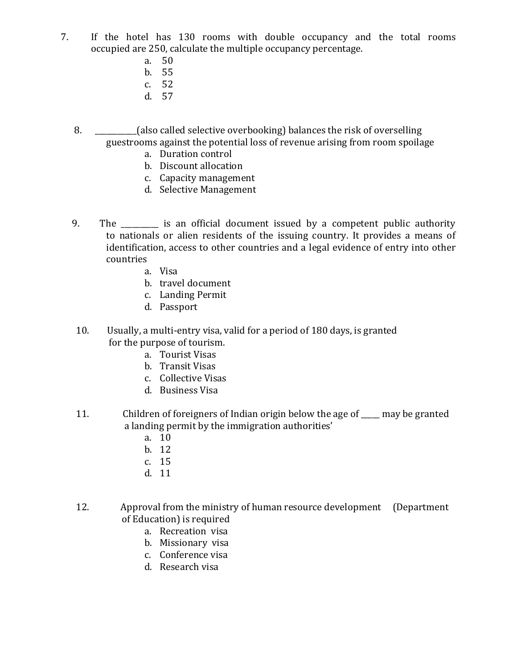- 7. If the hotel has 130 rooms with double occupancy and the total rooms occupied are 250, calculate the multiple occupancy percentage.
	- a. 50
	- b. 55
	- c. 52
	- d. 57
	- 8. \_\_\_\_\_\_\_\_\_\_\_(also called selective overbooking) balances the risk of overselling guestrooms against the potential loss of revenue arising from room spoilage
		- a. Duration control
		- b. Discount allocation
		- c. Capacity management
		- d. Selective Management
	- 9. The \_\_\_\_\_\_\_\_\_ is an official document issued by a competent public authority to nationals or alien residents of the issuing country. It provides a means of identification, access to other countries and a legal evidence of entry into other countries
		- a. Visa
		- b. travel document
		- c. Landing Permit
		- d. Passport
	- 10. Usually, a multi-entry visa, valid for a period of 180 days, is granted for the purpose of tourism.
		- a. Tourist Visas
		- b. Transit Visas
		- c. Collective Visas
		- d. Business Visa
	- 11. Children of foreigners of Indian origin below the age of \_\_\_\_\_ may be granted a landing permit by the immigration authorities'
		- a. 10
		- b. 12
		- c. 15
		- d. 11
	- 12. Approval from the ministry of human resource development (Department of Education) is required
		- a. Recreation visa
		- b. Missionary visa
		- c. Conference visa
		- d. Research visa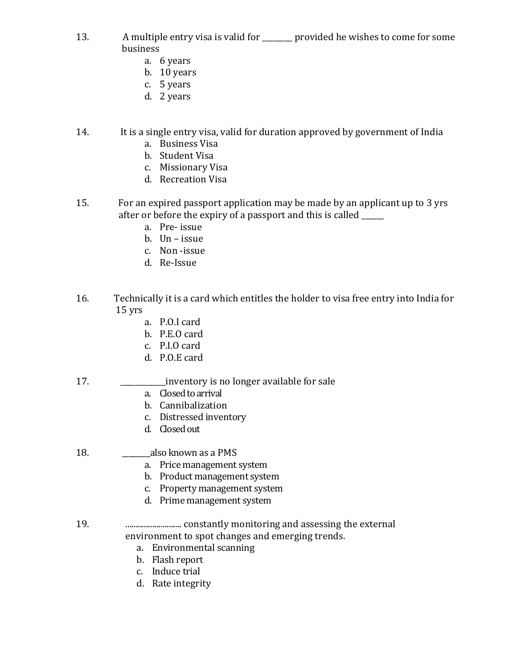- 13. A multiple entry visa is valid for \_\_\_\_\_\_\_\_ provided he wishes to come for some business
	- a. 6 years
	- b. 10 years
	- c. 5 years
	- d. 2 years
- 14. It is a single entry visa, valid for duration approved by government of India
	- a. Business Visa
	- b. Student Visa
	- c. Missionary Visa
	- d. Recreation Visa
- 15. For an expired passport application may be made by an applicant up to 3 yrs after or before the expiry of a passport and this is called \_\_\_\_\_\_
	- a. Pre- issue
	- b. Un issue
	- c. Non -issue
	- d. Re-Issue
- 16. Technically it is a card which entitles the holder to visa free entry into India for 15 yrs
	- a. P.O.I card
	- b. P.E.O card
	- c. P.I.O card
	- d. P.O.E card
- 17. \_\_\_\_\_\_\_\_\_\_\_\_inventory is no longer available for sale
	- a. Closed to arrival
	- b. Cannibalization
	- c. Distressed inventory
	- d. Closed out

### 18. **also known as a PMS**

- a. Price management system
- b. Product management system
- c. Property management system
- d. Prime management system
- 19. ........................... constantly monitoring and assessing the external environment to spot changes and emerging trends.
	- a. Environmental scanning
	- b. Flash report
	- c. Induce trial
	- d. Rate integrity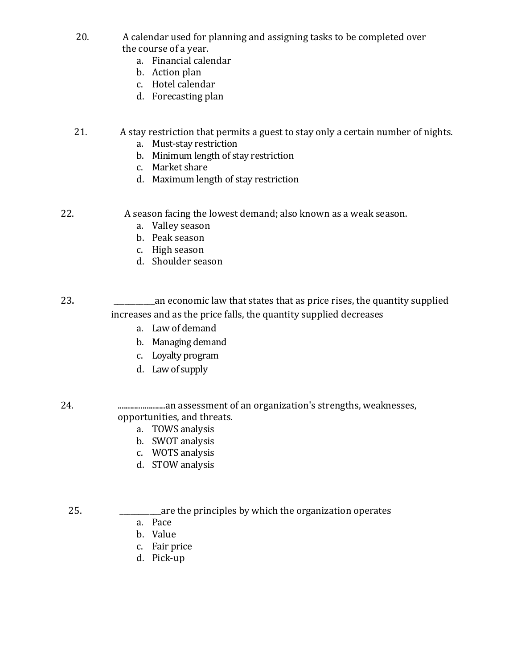- 20. A calendar used for planning and assigning tasks to be completed over the course of a year.
	- a. Financial calendar
	- b. Action plan
	- c. Hotel calendar
	- d. Forecasting plan

# 21. A stay restriction that permits a guest to stay only a certain number of nights.

- a. Must-stay restriction
- b. Minimum length of stay restriction
- c. Market share
- d. Maximum length of stay restriction

22. A season facing the lowest demand; also known as a weak season.

- a. Valley season
- b. Peak season
- c. High season
- d. Shoulder season
- 23. **23. Example 23. 23. Example 23. 23. Example 23. 23. Example 23. 23. 23. 23. 24. 25. 26. 26. 26. 26. 26. 26. 26. 26. 26. 26. 26. 26. 26. 26. 26. 26. 26. 26.** increases and as the price falls, the quantity supplied decreases
	- a. Law of demand
	- b. Managing demand
	- c. Loyalty program
	- d. Law of supply

#### 24. .......................an assessment of an organization's strengths, weaknesses, opportunities, and threats.

- a. TOWS analysis
- b. SWOT analysis
- c. WOTS analysis
- d. STOW analysis

## 25. **\_\_\_\_\_\_\_\_\_**are the principles by which the organization operates

- a. Pace
- b. Value
- c. Fair price
- d. Pick-up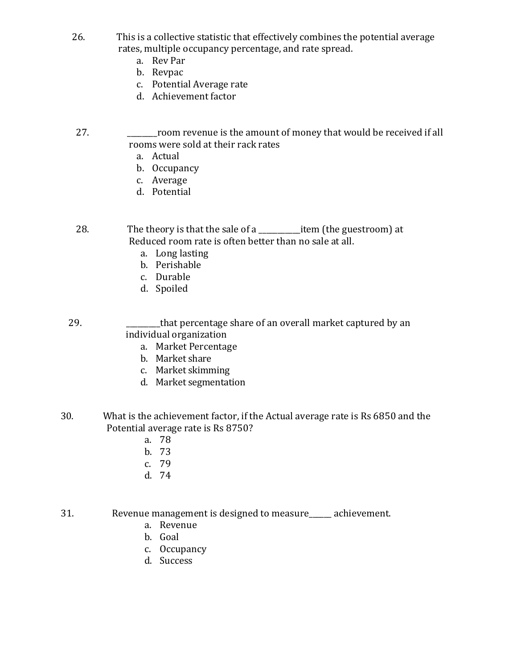- 26. This is a collective statistic that effectively combines the potential average rates, multiple occupancy percentage, and rate spread.
	- a. Rev Par
	- b. Revpac
	- c. Potential Average rate
	- d. Achievement factor
- 27. \_\_\_\_\_\_\_\_room revenue is the amount of money that would be received if all rooms were sold at their rack rates
	- a. Actual
	- b. Occupancy
	- c. Average
	- d. Potential

28. The theory is that the sale of a same item (the guestroom) at Reduced room rate is often better than no sale at all.

- a. Long lasting
- b. Perishable
- c. Durable
- d. Spoiled

29. \_\_\_\_\_\_\_\_\_that percentage share of an overall market captured by an individual organization

- a. Market Percentage
- b. Market share
- c. Market skimming
- d. Market segmentation
- 30. What is the achievement factor, if the Actual average rate is Rs 6850 and the Potential average rate is Rs 8750?
	- a. 78
	- b. 73
	- c. 79
	- d. 74

31. Revenue management is designed to measure\_\_\_\_\_\_ achievement.

- a. Revenue
- b. Goal
- c. Occupancy
- d. Success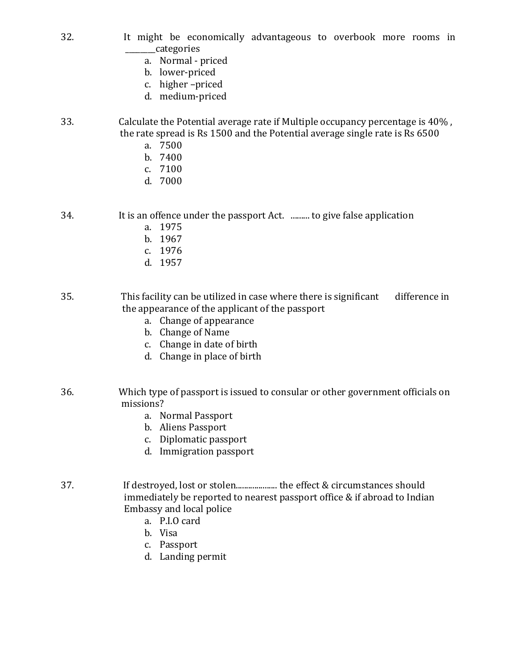- 32. It might be economically advantageous to overbook more rooms in \_\_\_\_\_\_\_\_categories
	- a. Normal priced
	- b. lower-priced
	- c. higher –priced
	- d. medium-priced
- 33. Calculate the Potential average rate if Multiple occupancy percentage is 40% , the rate spread is Rs 1500 and the Potential average single rate is Rs 6500
	- a. 7500
	- b. 7400
	- c. 7100
	- d. 7000

34. It is an offence under the passport Act. ......... to give false application

- a. 1975
- b. 1967
- c. 1976
- d. 1957

35. This facility can be utilized in case where there is significant difference in the appearance of the applicant of the passport

- a. Change of appearance
- b. Change of Name
- c. Change in date of birth
- d. Change in place of birth
- 36. Which type of passport is issued to consular or other government officials on missions?
	- a. Normal Passport
	- b. Aliens Passport
	- c. Diplomatic passport
	- d. Immigration passport
- 37. If destroyed, lost or stolen.................... the effect & circumstances should immediately be reported to nearest passport office & if abroad to Indian Embassy and local police
	- a. P.I.O card
	- b. Visa
	- c. Passport
	- d. Landing permit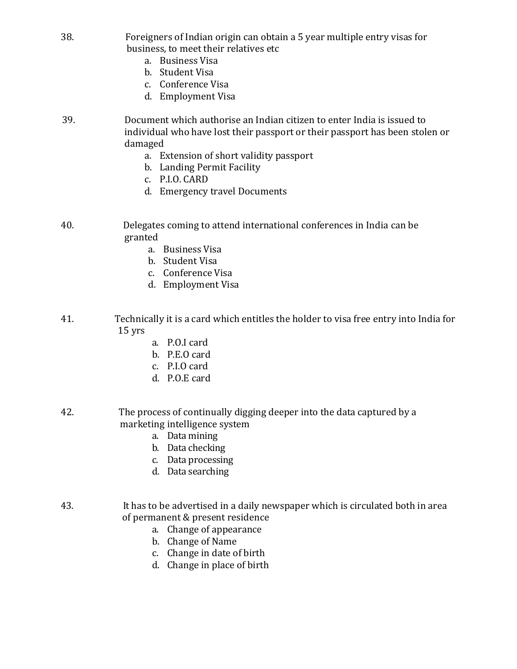- 38. Foreigners of Indian origin can obtain a 5 year multiple entry visas for business, to meet their relatives etc
	- a. Business Visa
	- b. Student Visa
	- c. Conference Visa
	- d. Employment Visa
- 39. Document which authorise an Indian citizen to enter India is issued to individual who have lost their passport or their passport has been stolen or damaged
	- a. Extension of short validity passport
	- b. Landing Permit Facility
	- c. P.I.O. CARD
	- d. Emergency travel Documents
- 40. Delegates coming to attend international conferences in India can be granted
	- a. Business Visa
	- b. Student Visa
	- c. Conference Visa
	- d. Employment Visa
- 41. Technically it is a card which entitles the holder to visa free entry into India for 15 yrs
	- a. P.O.I card
	- b. P.E.O card
	- c. P.I.O card
	- d. P.O.E card
- 42. The process of continually digging deeper into the data captured by a marketing intelligence system
	- a. Data mining
	- b. Data checking
	- c. Data processing
	- d. Data searching
- 43. It has to be advertised in a daily newspaper which is circulated both in area of permanent & present residence
	- a. Change of appearance
	- b. Change of Name
	- c. Change in date of birth
	- d. Change in place of birth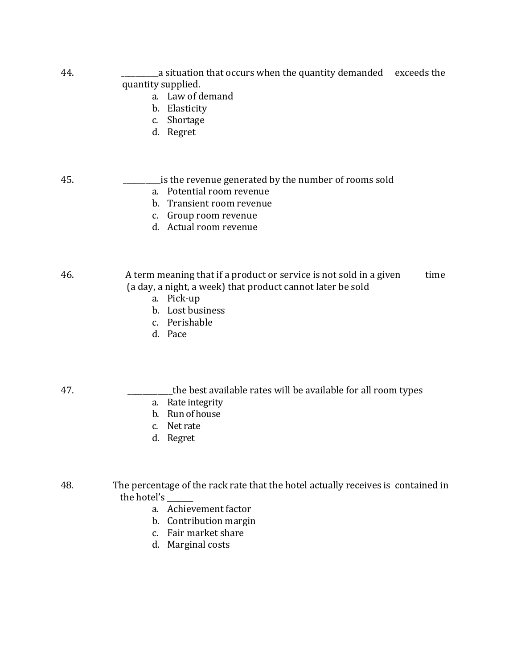| 44. | a situation that occurs when the quantity demanded exceeds the<br>quantity supplied.<br>a. Law of demand<br>Elasticity<br>b.<br>Shortage<br>C.<br>d. Regret       |
|-----|-------------------------------------------------------------------------------------------------------------------------------------------------------------------|
| 45. | is the revenue generated by the number of rooms sold<br>a. Potential room revenue<br>b. Transient room revenue<br>c. Group room revenue<br>d. Actual room revenue |

46. A term meaning that if a product or service is not sold in a given time (a day, a night, a week) that product cannot later be sold

- a. Pick-up
- b. Lost business
- c. Perishable
- d. Pace

- 47. \_\_\_\_\_\_\_\_\_\_\_\_the best available rates will be available for all room types
	- a. Rate integrity
	- b. Run of house
	- c. Net rate
	- d. Regret

48. The percentage of the rack rate that the hotel actually receives is contained in the hotel's \_\_\_\_\_\_\_

- a. Achievement factor
- b. Contribution margin
- c. Fair market share
- d. Marginal costs